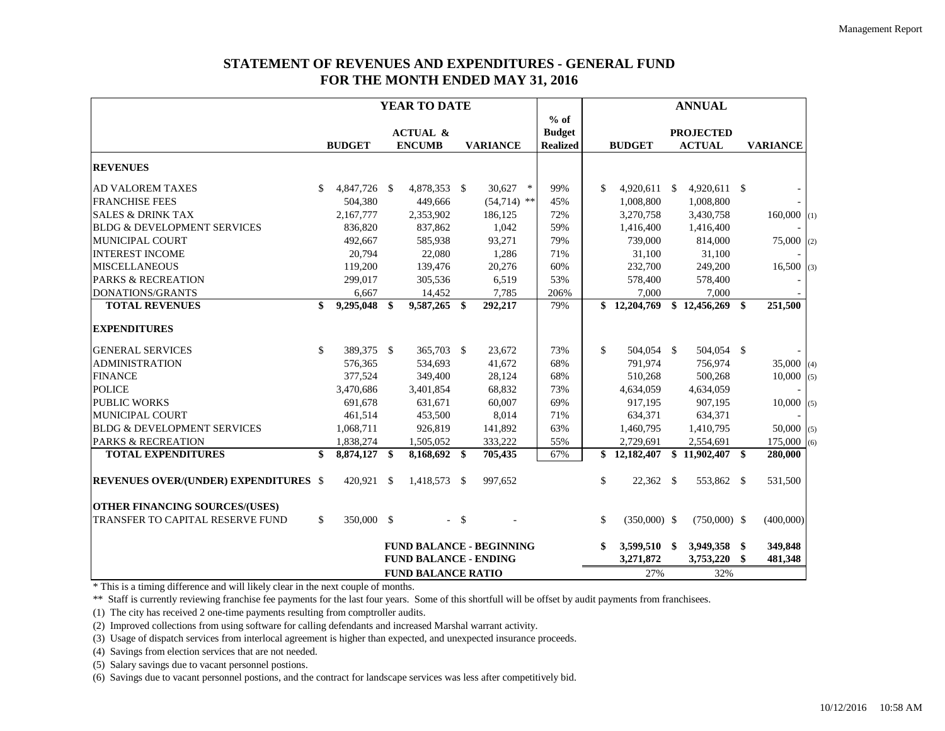## **STATEMENT OF REVENUES AND EXPENDITURES - GENERAL FUND FOR THE MONTH ENDED MAY 31, 2016**

|                                              | YEAR TO DATE |                        |                              |                     |        |                                 |  | <b>ANNUAL</b>   |    |                |                    |                  |     |                 |
|----------------------------------------------|--------------|------------------------|------------------------------|---------------------|--------|---------------------------------|--|-----------------|----|----------------|--------------------|------------------|-----|-----------------|
|                                              |              |                        |                              |                     |        |                                 |  | $%$ of          |    |                |                    |                  |     |                 |
|                                              |              |                        |                              | <b>ACTUAL &amp;</b> |        |                                 |  | <b>Budget</b>   |    |                |                    | <b>PROJECTED</b> |     |                 |
|                                              |              | <b>BUDGET</b>          |                              | <b>ENCUMB</b>       |        | <b>VARIANCE</b>                 |  | <b>Realized</b> |    | <b>BUDGET</b>  |                    | <b>ACTUAL</b>    |     | <b>VARIANCE</b> |
| <b>REVENUES</b>                              |              |                        |                              |                     |        |                                 |  |                 |    |                |                    |                  |     |                 |
| <b>AD VALOREM TAXES</b>                      | \$           | 4,847,726 \$           |                              | 4,878,353 \$        |        | 30,627<br>$\ast$                |  | 99%             | \$ | 4,920,611      | $\mathbf{\hat{s}}$ | 4,920,611 \$     |     |                 |
| <b>FRANCHISE FEES</b>                        |              | 504,380                |                              | 449,666             |        | $(54,714)$ **                   |  | 45%             |    | 1,008,800      |                    | 1,008,800        |     |                 |
| <b>SALES &amp; DRINK TAX</b>                 |              | 2,167,777              |                              | 2,353,902           |        | 186,125                         |  | 72%             |    | 3,270,758      |                    | 3,430,758        |     | $160,000$ (1)   |
| <b>BLDG &amp; DEVELOPMENT SERVICES</b>       |              | 836,820                |                              | 837,862             |        | 1,042                           |  | 59%             |    | 1,416,400      |                    | 1,416,400        |     |                 |
| <b>MUNICIPAL COURT</b>                       |              | 492,667                |                              | 585,938             |        | 93,271                          |  | 79%             |    | 739,000        |                    | 814,000          |     | 75,000<br>(2)   |
| <b>INTEREST INCOME</b>                       |              | 20,794                 |                              | 22,080              |        | 1,286                           |  | 71%             |    | 31,100         |                    | 31,100           |     |                 |
| <b>MISCELLANEOUS</b>                         |              | 119,200                |                              | 139,476             |        | 20,276                          |  | 60%             |    | 232,700        |                    | 249,200          |     | 16,500<br>(3)   |
| <b>PARKS &amp; RECREATION</b>                |              | 299,017                |                              | 305,536             |        | 6,519                           |  | 53%             |    | 578,400        |                    | 578,400          |     |                 |
| <b>DONATIONS/GRANTS</b>                      |              | 6,667                  |                              | 14,452              |        | 7,785                           |  | 206%            |    | 7.000          |                    | 7.000            |     |                 |
| <b>TOTAL REVENUES</b>                        | \$           | $\overline{9,295,048}$ | \$                           | 9,587,265 \$        |        | 292,217                         |  | 79%             |    | \$12,204,769   |                    | \$12,456,269     | \$  | 251,500         |
| <b>EXPENDITURES</b>                          |              |                        |                              |                     |        |                                 |  |                 |    |                |                    |                  |     |                 |
| <b>GENERAL SERVICES</b>                      | \$           | 389,375 \$             |                              | 365,703 \$          |        | 23,672                          |  | 73%             | \$ | 504,054 \$     |                    | 504,054 \$       |     |                 |
| <b>ADMINISTRATION</b>                        |              | 576,365                |                              | 534,693             |        | 41,672                          |  | 68%             |    | 791,974        |                    | 756,974          |     | 35,000(4)       |
| <b>FINANCE</b>                               |              | 377,524                |                              | 349,400             |        | 28,124                          |  | 68%             |    | 510,268        |                    | 500,268          |     | 10,000<br>(5)   |
| <b>POLICE</b>                                |              | 3,470,686              |                              | 3,401,854           |        | 68,832                          |  | 73%             |    | 4,634,059      |                    | 4,634,059        |     |                 |
| <b>PUBLIC WORKS</b>                          |              | 691,678                |                              | 631,671             |        | 60,007                          |  | 69%             |    | 917,195        |                    | 907,195          |     | 10,000<br>(5)   |
| <b>MUNICIPAL COURT</b>                       |              | 461,514                |                              | 453,500             |        | 8,014                           |  | 71%             |    | 634,371        |                    | 634,371          |     |                 |
| <b>BLDG &amp; DEVELOPMENT SERVICES</b>       |              | 1,068,711              |                              | 926.819             |        | 141,892                         |  | 63%             |    | 1,460,795      |                    | 1,410,795        |     | $50,000$ (5)    |
| <b>PARKS &amp; RECREATION</b>                |              | 1,838,274              |                              | 1,505,052           |        | 333,222                         |  | 55%             |    | 2,729,691      |                    | 2,554,691        |     | 175,000<br>(6)  |
| <b>TOTAL EXPENDITURES</b>                    | \$           | 8,874,127              | \$                           | 8,168,692 \$        |        | 705,435                         |  | 67%             |    | \$12,182,407   |                    | \$11,902,407     | \$  | 280,000         |
| <b>REVENUES OVER/(UNDER) EXPENDITURES \$</b> |              | 420,921 \$             |                              | 1,418,573 \$        |        | 997,652                         |  |                 | \$ | $22,362$ \$    |                    | 553,862 \$       |     | 531,500         |
| <b>OTHER FINANCING SOURCES/(USES)</b>        |              |                        |                              |                     |        |                                 |  |                 |    |                |                    |                  |     |                 |
| TRANSFER TO CAPITAL RESERVE FUND             | \$           | 350,000 \$             |                              |                     | $-$ \$ |                                 |  |                 | \$ | $(350,000)$ \$ |                    | $(750,000)$ \$   |     | (400,000)       |
|                                              |              |                        |                              |                     |        | <b>FUND BALANCE - BEGINNING</b> |  |                 |    | 3,599,510 \$   |                    | 3,949,358        | -\$ | 349,848         |
|                                              |              |                        | <b>FUND BALANCE - ENDING</b> |                     |        |                                 |  |                 |    | 3,271,872      |                    | 3,753,220        | \$  | 481,348         |
|                                              |              |                        | <b>FUND BALANCE RATIO</b>    |                     |        |                                 |  |                 |    | 27%            | 32%                |                  |     |                 |

\* This is a timing difference and will likely clear in the next couple of months.

\*\* Staff is currently reviewing franchise fee payments for the last four years. Some of this shortfull will be offset by audit payments from franchisees.

(1) The city has received 2 one-time payments resulting from comptroller audits.

(2) Improved collections from using software for calling defendants and increased Marshal warrant activity.

(3) Usage of dispatch services from interlocal agreement is higher than expected, and unexpected insurance proceeds.

(4) Savings from election services that are not needed.

(5) Salary savings due to vacant personnel postions.

(6) Savings due to vacant personnel postions, and the contract for landscape services was less after competitively bid.